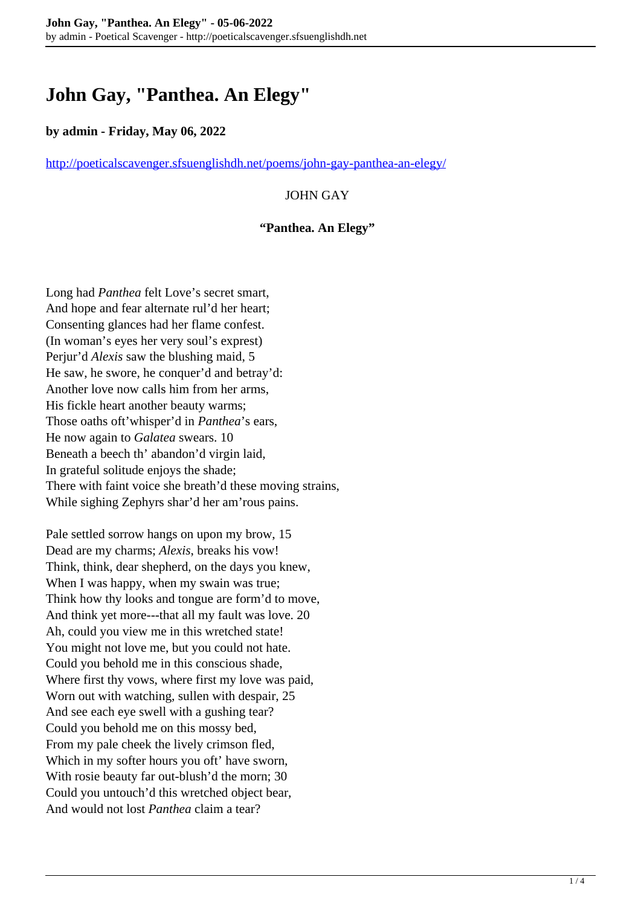# **John Gay, "Panthea. An Elegy"**

### **by admin - Friday, May 06, 2022**

<http://poeticalscavenger.sfsuenglishdh.net/poems/john-gay-panthea-an-elegy/>

## JOHN GAY

#### **"Panthea. An Elegy"**

Long had *Panthea* felt Love's secret smart, And hope and fear alternate rul'd her heart; Consenting glances had her flame confest. (In woman's eyes her very soul's exprest) Perjur'd *Alexis* saw the blushing maid, 5 He saw, he swore, he conquer'd and betray'd: Another love now calls him from her arms, His fickle heart another beauty warms; Those oaths oft'whisper'd in *Panthea*'s ears, He now again to *Galatea* swears. 10 Beneath a beech th' abandon'd virgin laid, In grateful solitude enjoys the shade; There with faint voice she breath'd these moving strains, While sighing Zephyrs shar'd her am'rous pains.

Pale settled sorrow hangs on upon my brow, 15 Dead are my charms; *Alexis*, breaks his vow! Think, think, dear shepherd, on the days you knew, When I was happy, when my swain was true; Think how thy looks and tongue are form'd to move, And think yet more---that all my fault was love. 20 Ah, could you view me in this wretched state! You might not love me, but you could not hate. Could you behold me in this conscious shade, Where first thy vows, where first my love was paid, Worn out with watching, sullen with despair, 25 And see each eye swell with a gushing tear? Could you behold me on this mossy bed, From my pale cheek the lively crimson fled, Which in my softer hours you oft' have sworn, With rosie beauty far out-blush'd the morn; 30 Could you untouch'd this wretched object bear, And would not lost *Panthea* claim a tear?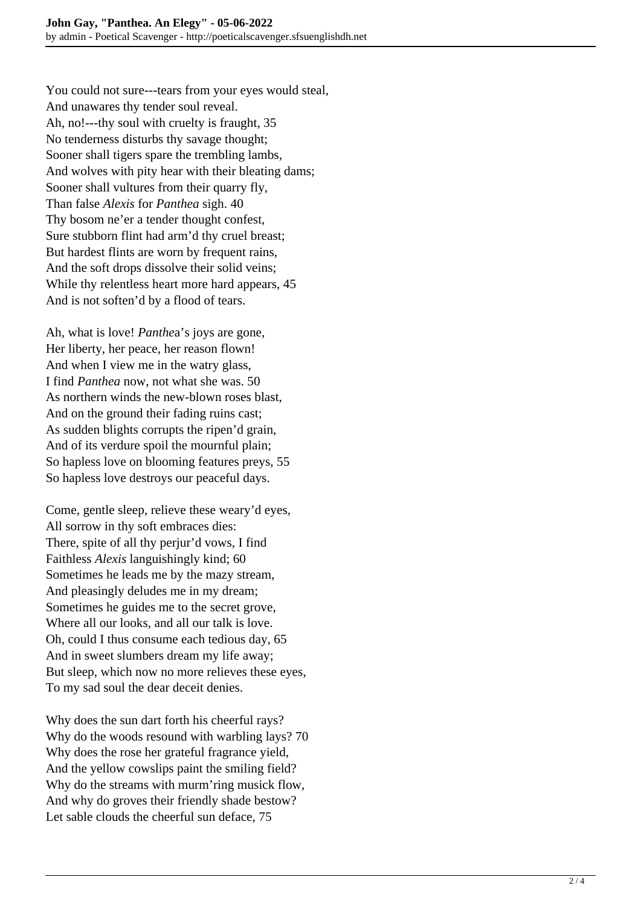You could not sure---tears from your eyes would steal, And unawares thy tender soul reveal. Ah, no!---thy soul with cruelty is fraught, 35 No tenderness disturbs thy savage thought; Sooner shall tigers spare the trembling lambs, And wolves with pity hear with their bleating dams; Sooner shall vultures from their quarry fly, Than false *Alexis* for *Panthea* sigh. 40 Thy bosom ne'er a tender thought confest, Sure stubborn flint had arm'd thy cruel breast; But hardest flints are worn by frequent rains, And the soft drops dissolve their solid veins; While thy relentless heart more hard appears, 45 And is not soften'd by a flood of tears.

Ah, what is love! *Panthe*a's joys are gone, Her liberty, her peace, her reason flown! And when I view me in the watry glass, I find *Panthea* now, not what she was. 50 As northern winds the new-blown roses blast, And on the ground their fading ruins cast; As sudden blights corrupts the ripen'd grain, And of its verdure spoil the mournful plain; So hapless love on blooming features preys, 55 So hapless love destroys our peaceful days.

Come, gentle sleep, relieve these weary'd eyes, All sorrow in thy soft embraces dies: There, spite of all thy perjur'd vows, I find Faithless *Alexis* languishingly kind; 60 Sometimes he leads me by the mazy stream, And pleasingly deludes me in my dream; Sometimes he guides me to the secret grove, Where all our looks, and all our talk is love. Oh, could I thus consume each tedious day, 65 And in sweet slumbers dream my life away; But sleep, which now no more relieves these eyes, To my sad soul the dear deceit denies.

Why does the sun dart forth his cheerful rays? Why do the woods resound with warbling lays? 70 Why does the rose her grateful fragrance yield, And the yellow cowslips paint the smiling field? Why do the streams with murm'ring musick flow, And why do groves their friendly shade bestow? Let sable clouds the cheerful sun deface, 75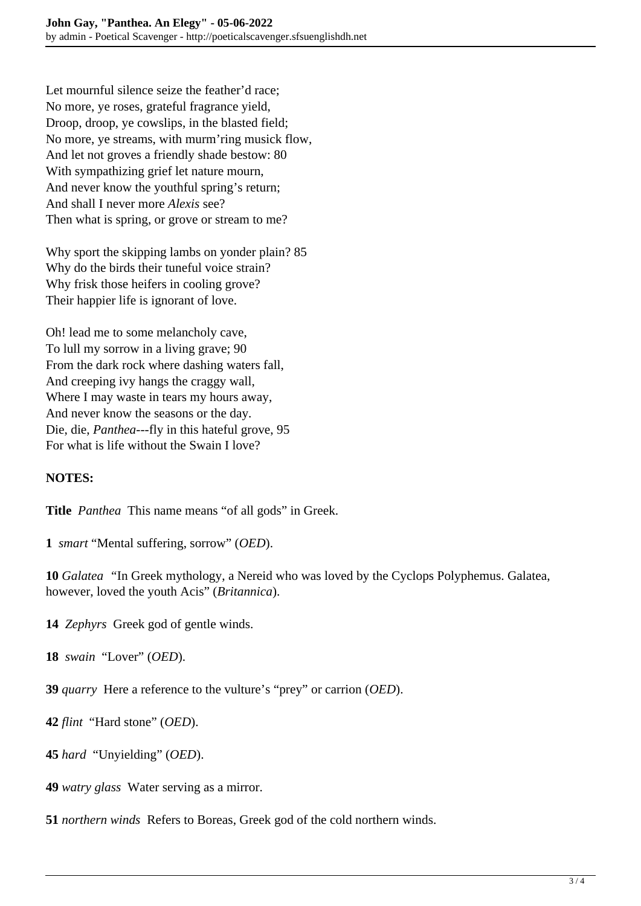Let mournful silence seize the feather'd race; No more, ye roses, grateful fragrance yield, Droop, droop, ye cowslips, in the blasted field; No more, ye streams, with murm'ring musick flow, And let not groves a friendly shade bestow: 80 With sympathizing grief let nature mourn, And never know the youthful spring's return; And shall I never more *Alexis* see? Then what is spring, or grove or stream to me?

Why sport the skipping lambs on yonder plain? 85 Why do the birds their tuneful voice strain? Why frisk those heifers in cooling grove? Their happier life is ignorant of love.

Oh! lead me to some melancholy cave, To lull my sorrow in a living grave; 90 From the dark rock where dashing waters fall, And creeping ivy hangs the craggy wall, Where I may waste in tears my hours away, And never know the seasons or the day. Die, die, *Panthea*---fly in this hateful grove, 95 For what is life without the Swain I love?

## **NOTES:**

**Title** *Panthea* This name means "of all gods" in Greek.

**1** *smart* "Mental suffering, sorrow" (*OED*).

**10** *Galatea "*In Greek mythology, a Nereid who was loved by the Cyclops Polyphemus. Galatea, however, loved the youth Acis" (*Britannica*).

**14** *Zephyrs* Greek god of gentle winds.

**18** *swain* "Lover" (*OED*).

**39** *quarry* Here a reference to the vulture's "prey" or carrion (*OED*).

**42** *flint*"Hard stone" (*OED*).

**45** *hard* "Unyielding" (*OED*).

**49** *watry glass* Water serving as a mirror.

**51** *northern winds* Refers to Boreas, Greek god of the cold northern winds.